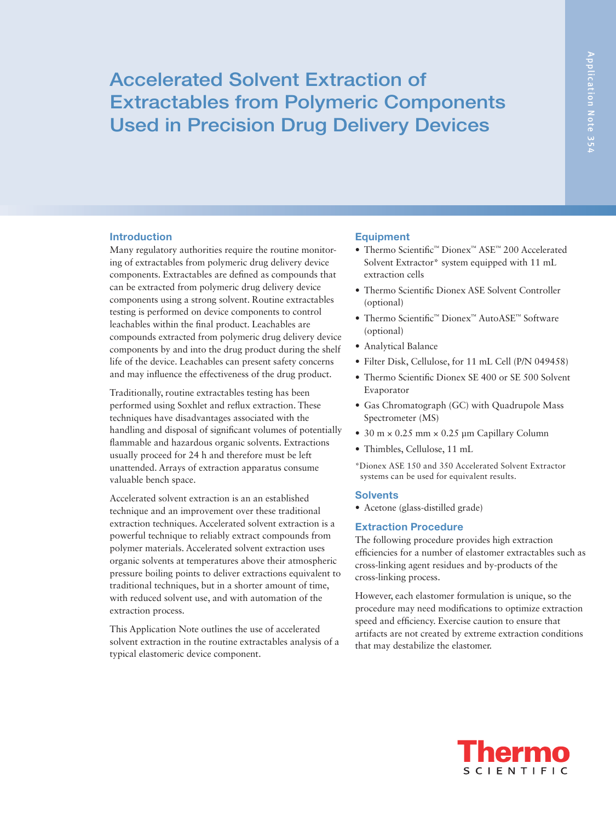# Accelerated Solvent Extraction of Extractables from Polymeric Components Used in Precision Drug Delivery Devices

## Introduction

Many regulatory authorities require the routine monitoring of extractables from polymeric drug delivery device components. Extractables are defined as compounds that can be extracted from polymeric drug delivery device components using a strong solvent. Routine extractables testing is performed on device components to control leachables within the final product. Leachables are compounds extracted from polymeric drug delivery device components by and into the drug product during the shelf life of the device. Leachables can present safety concerns and may influence the effectiveness of the drug product.

Traditionally, routine extractables testing has been performed using Soxhlet and reflux extraction. These techniques have disadvantages associated with the handling and disposal of significant volumes of potentially flammable and hazardous organic solvents. Extractions usually proceed for 24 h and therefore must be left unattended. Arrays of extraction apparatus consume valuable bench space.

Accelerated solvent extraction is an an established technique and an improvement over these traditional extraction techniques. Accelerated solvent extraction is a powerful technique to reliably extract compounds from polymer materials. Accelerated solvent extraction uses organic solvents at temperatures above their atmospheric pressure boiling points to deliver extractions equivalent to traditional techniques, but in a shorter amount of time, with reduced solvent use, and with automation of the extraction process.

This Application Note outlines the use of accelerated solvent extraction in the routine extractables analysis of a typical elastomeric device component.

# **Equipment**

- • Thermo Scientific™ Dionex™ ASE™ 200 Accelerated Solvent Extractor\* system equipped with 11 mL extraction cells
- Thermo Scientific Dionex ASE Solvent Controller (optional)
- Thermo Scientific™ Dionex™ AutoASE™ Software (optional)
- • Analytical Balance
- Filter Disk, Cellulose, for 11 mL Cell (P/N 049458)
- Thermo Scientific Dionex SE 400 or SE 500 Solvent Evaporator
- • Gas Chromatograph (GC) with Quadrupole Mass Spectrometer (MS)
- $\bullet$  30 m  $\times$  0.25 mm  $\times$  0.25 µm Capillary Column
- Thimbles, Cellulose, 11 mL
- \*Dionex ASE 150 and 350 Accelerated Solvent Extractor systems can be used for equivalent results.

## **Solvents**

• Acetone (glass-distilled grade)

### Extraction Procedure

The following procedure provides high extraction efficiencies for a number of elastomer extractables such as cross-linking agent residues and by-products of the cross-linking process.

However, each elastomer formulation is unique, so the procedure may need modifications to optimize extraction speed and efficiency. Exercise caution to ensure that artifacts are not created by extreme extraction conditions that may destabilize the elastomer.

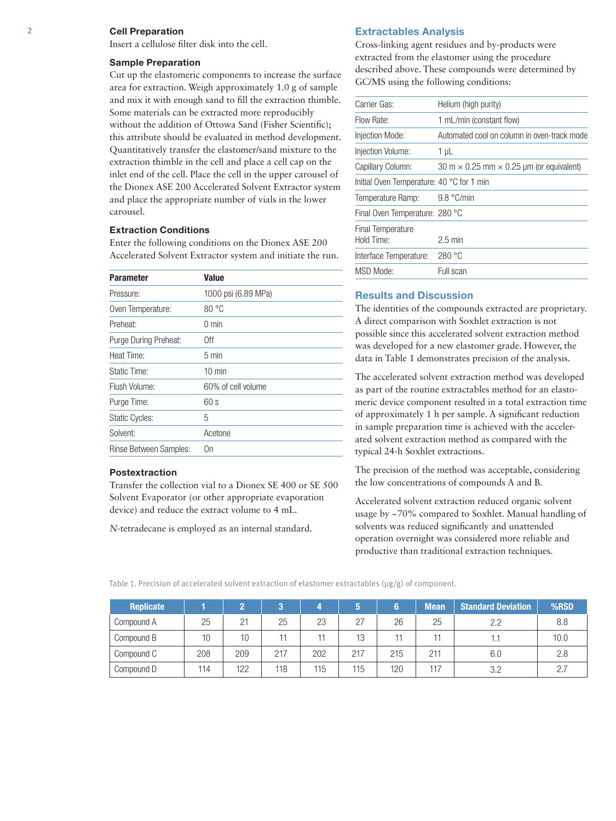## 2 Cell Preparation

Insert a cellulose filter disk into the cell.

#### Sample Preparation

Cut up the elastomeric components to increase the surface area for extraction. Weigh approximately 1.0 g of sample and mix it with enough sand to fill the extraction thimble. Some materials can be extracted more reproducibly without the addition of Ottowa Sand (Fisher Scientific); this attribute should be evaluated in method development. Quantitatively transfer the elastomer/sand mixture to the extraction thimble in the cell and place a cell cap on the inlet end of the cell. Place the cell in the upper carousel of the Dionex ASE 200 Accelerated Solvent Extractor system and place the appropriate number of vials in the lower carousel.

# Extraction Conditions

Enter the following conditions on the Dionex ASE 200 Accelerated Solvent Extractor system and initiate the run.

| <b>Parameter</b>       | <b>Value</b>        |  |  |  |  |
|------------------------|---------------------|--|--|--|--|
| Pressure:              | 1000 psi (6.89 MPa) |  |  |  |  |
| Oven Temperature:      | 80 °C               |  |  |  |  |
| Preheat:               | $0 \text{ min}$     |  |  |  |  |
| Purge During Preheat:  | 0ff                 |  |  |  |  |
| Heat Time:             | $5 \text{ min}$     |  |  |  |  |
| Static Time:           | $10 \text{ min}$    |  |  |  |  |
| Flush Volume:          | 60% of cell volume  |  |  |  |  |
| Purge Time:            | 60s                 |  |  |  |  |
| <b>Static Cycles:</b>  | 5                   |  |  |  |  |
| Solvent:               | Acetone             |  |  |  |  |
| Rinse Between Samples: | 0n                  |  |  |  |  |

#### Postextraction

Transfer the collection vial to a Dionex SE 400 or SE 500 Solvent Evaporator (or other appropriate evaporation device) and reduce the extract volume to 4 mL.

*N*-tetradecane is employed as an internal standard.

#### Extractables Analysis

Cross-linking agent residues and by-products were extracted from the elastomer using the procedure described above. These compounds were determined by GC/MS using the following conditions:

| Carrier Gas:                                        | Helium (high purity)                                   |
|-----------------------------------------------------|--------------------------------------------------------|
| Flow Rate:                                          | 1 mL/min (constant flow)                               |
| Injection Mode:                                     | Automated cool on column in oven-track mode            |
| Injection Volume:                                   | 1 µL                                                   |
| Capillary Column:                                   | 30 m $\times$ 0.25 mm $\times$ 0.25 µm (or equivalent) |
| Initial Oven Temperature: 40 $^{\circ}$ C for 1 min |                                                        |
| Temperature Ramp:                                   | 9.8 °C/min                                             |
| Final Oven Temperature: 280 °C                      |                                                        |
| Final Temperature                                   |                                                        |
| Hold Time:                                          | $2.5 \text{ min}$                                      |
| Interface Temperature:                              | 280 °C                                                 |
| MSD Mode:                                           | Full scan                                              |

# Results and Discussion

The identities of the compounds extracted are proprietary. A direct comparison with Soxhlet extraction is not possible since this accelerated solvent extraction method was developed for a new elastomer grade. However, the data in Table 1 demonstrates precision of the analysis.

The accelerated solvent extraction method was developed as part of the routine extractables method for an elastomeric device component resulted in a total extraction time of approximately 1 h per sample. A significant reduction in sample preparation time is achieved with the accelerated solvent extraction method as compared with the typical 24-h Soxhlet extractions.

The precision of the method was acceptable, considering the low concentrations of compounds A and B.

Accelerated solvent extraction reduced organic solvent usage by ~70% compared to Soxhlet. Manual handling of solvents was reduced significantly and unattended operation overnight was considered more reliable and productive than traditional extraction techniques.

Table 1. Precision of accelerated solvent extraction of elastomer extractables (µg/g) of component.

| <b>Replicate</b> |              |     | m.  |     | ю   |     | <b>Mean</b> | <b>Standard Deviation</b> | %RSD |
|------------------|--------------|-----|-----|-----|-----|-----|-------------|---------------------------|------|
| Compound A       | 25           | 21  | 25  | 23  | 27  | 26  | 25          | 2.2                       | 8.8  |
| Compound B       | $10^{\circ}$ | 10  |     |     | 13  |     |             |                           | 10.0 |
| Compound C       | 208          | 209 | 217 | 202 | 217 | 215 | 211         | 6.0                       | 2.8  |
| Compound D       | 114          | 122 | 118 | 115 | 115 | 120 | 117         | 3.2                       |      |